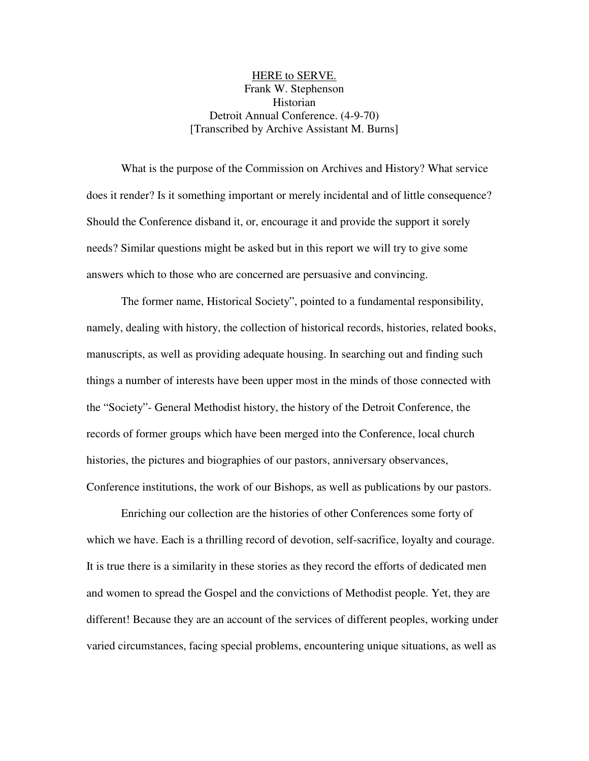## HERE to SERVE. Frank W. Stephenson Historian Detroit Annual Conference. (4-9-70) [Transcribed by Archive Assistant M. Burns]

What is the purpose of the Commission on Archives and History? What service does it render? Is it something important or merely incidental and of little consequence? Should the Conference disband it, or, encourage it and provide the support it sorely needs? Similar questions might be asked but in this report we will try to give some answers which to those who are concerned are persuasive and convincing.

The former name, Historical Society", pointed to a fundamental responsibility, namely, dealing with history, the collection of historical records, histories, related books, manuscripts, as well as providing adequate housing. In searching out and finding such things a number of interests have been upper most in the minds of those connected with the "Society"- General Methodist history, the history of the Detroit Conference, the records of former groups which have been merged into the Conference, local church histories, the pictures and biographies of our pastors, anniversary observances, Conference institutions, the work of our Bishops, as well as publications by our pastors.

Enriching our collection are the histories of other Conferences some forty of which we have. Each is a thrilling record of devotion, self-sacrifice, loyalty and courage. It is true there is a similarity in these stories as they record the efforts of dedicated men and women to spread the Gospel and the convictions of Methodist people. Yet, they are different! Because they are an account of the services of different peoples, working under varied circumstances, facing special problems, encountering unique situations, as well as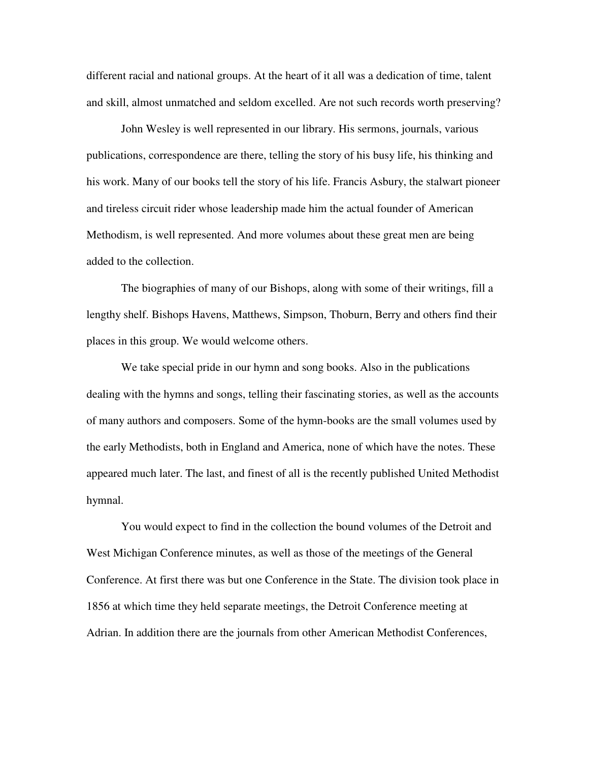different racial and national groups. At the heart of it all was a dedication of time, talent and skill, almost unmatched and seldom excelled. Are not such records worth preserving?

John Wesley is well represented in our library. His sermons, journals, various publications, correspondence are there, telling the story of his busy life, his thinking and his work. Many of our books tell the story of his life. Francis Asbury, the stalwart pioneer and tireless circuit rider whose leadership made him the actual founder of American Methodism, is well represented. And more volumes about these great men are being added to the collection.

The biographies of many of our Bishops, along with some of their writings, fill a lengthy shelf. Bishops Havens, Matthews, Simpson, Thoburn, Berry and others find their places in this group. We would welcome others.

We take special pride in our hymn and song books. Also in the publications dealing with the hymns and songs, telling their fascinating stories, as well as the accounts of many authors and composers. Some of the hymn-books are the small volumes used by the early Methodists, both in England and America, none of which have the notes. These appeared much later. The last, and finest of all is the recently published United Methodist hymnal.

You would expect to find in the collection the bound volumes of the Detroit and West Michigan Conference minutes, as well as those of the meetings of the General Conference. At first there was but one Conference in the State. The division took place in 1856 at which time they held separate meetings, the Detroit Conference meeting at Adrian. In addition there are the journals from other American Methodist Conferences,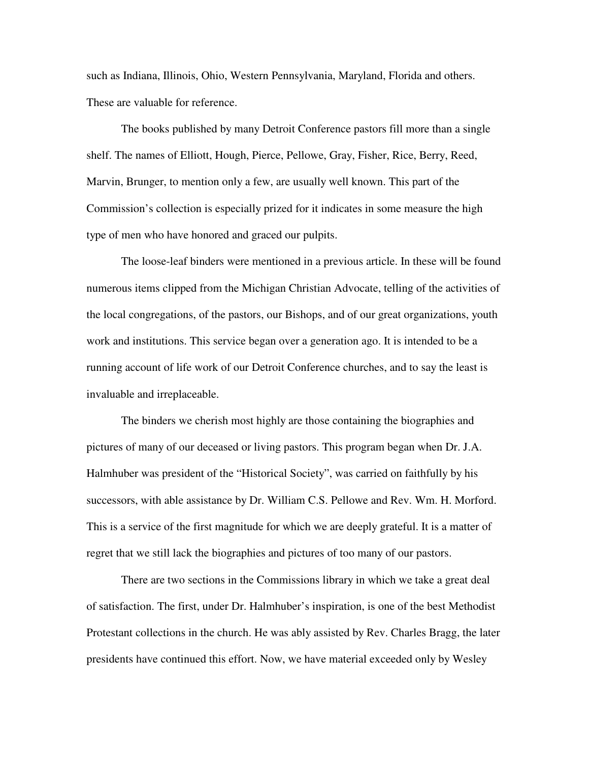such as Indiana, Illinois, Ohio, Western Pennsylvania, Maryland, Florida and others. These are valuable for reference.

The books published by many Detroit Conference pastors fill more than a single shelf. The names of Elliott, Hough, Pierce, Pellowe, Gray, Fisher, Rice, Berry, Reed, Marvin, Brunger, to mention only a few, are usually well known. This part of the Commission's collection is especially prized for it indicates in some measure the high type of men who have honored and graced our pulpits.

The loose-leaf binders were mentioned in a previous article. In these will be found numerous items clipped from the Michigan Christian Advocate, telling of the activities of the local congregations, of the pastors, our Bishops, and of our great organizations, youth work and institutions. This service began over a generation ago. It is intended to be a running account of life work of our Detroit Conference churches, and to say the least is invaluable and irreplaceable.

The binders we cherish most highly are those containing the biographies and pictures of many of our deceased or living pastors. This program began when Dr. J.A. Halmhuber was president of the "Historical Society", was carried on faithfully by his successors, with able assistance by Dr. William C.S. Pellowe and Rev. Wm. H. Morford. This is a service of the first magnitude for which we are deeply grateful. It is a matter of regret that we still lack the biographies and pictures of too many of our pastors.

There are two sections in the Commissions library in which we take a great deal of satisfaction. The first, under Dr. Halmhuber's inspiration, is one of the best Methodist Protestant collections in the church. He was ably assisted by Rev. Charles Bragg, the later presidents have continued this effort. Now, we have material exceeded only by Wesley